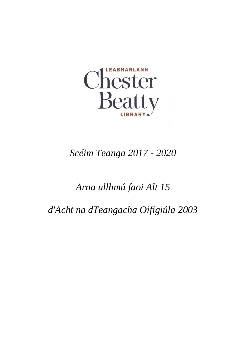

# *Scéim Teanga 2017 - 2020*

# *Arna ullhmú faoi Alt 15*

*d'Acht na dTeangacha Oifigiúla 2003*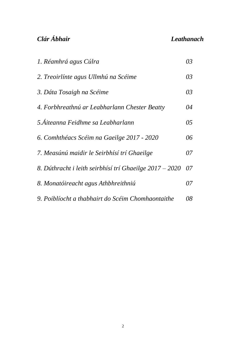### *Clár Ábhair Leathanach*

| 1. Réamhrá agus Cúlra                                   | 03 |
|---------------------------------------------------------|----|
| 2. Treoirlínte agus Ullmhú na Scéime                    | 03 |
| 3. Dáta Tosaigh na Scéime                               | 03 |
| 4. Forbhreathnú ar Leabharlann Chester Beatty           | 04 |
| 5. Áiteanna Feidhme sa Leabharlann                      | 05 |
| 6. Comhthéacs Scéim na Gaeilge 2017 - 2020              | 06 |
| 7. Measúnú maidir le Seirbhísí trí Ghaeilge             | 07 |
| 8. Dúthracht i leith seirbhísí trí Ghaeilge 2017 – 2020 | 07 |
| 8. Monatóireacht agus Athbhreithniú                     | 07 |
| 9. Poiblíocht a thabhairt do Scéim Chomhaontaithe       | 08 |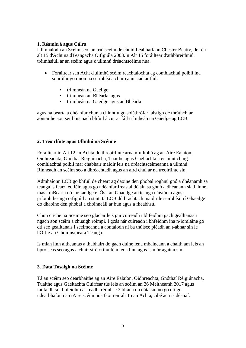#### **1. Réamhrá agus Cúlra**

Ullmhaíodh an Scéim seo, an tríú scéim de chuid Leabharlann Chester Beatty, de réir alt 15 d'Acht na dTeangacha Oifigiúla 2003.In Alt 15 foráiltear d'athbhreithniú tréimhsiúil ar an scéim agus d'ullmhú dréachtscéime nua.

- Foráiltear san Acht d'ullmhú scéim reachtaíochta ag comhlachtaí poiblí ina sonrófar go mion na seirbhísí a chuireann siad ar fáil:
	- trí mheán na Gaeilge;
	- trí mheán an Bhéarla, agus
	- trí mheán na Gaeilge agus an Bhéarla

agus na bearta a dhéanfar chun a chinntiú go soláthrófar laistigh de thráthchlár aontaithe aon seirbhís nach bhfuil á cur ar fáil trí mheán na Gaeilge ag LCB.

#### **2. Treoirlínte agus Ullmhú na Scéime**

Foráiltear in Alt 12 an Achta do threoirlínte arna n-ullmhú ag an Aire Ealaíon, Oidhreachta, Gnóthaí Réigiúnacha, Tuaithe agus Gaeltachta a eisiúint chuig comhlachtaí poiblí mar chabhair maidir leis na dréachtscéimeanna a ullmhú. Rinneadh an scéim seo a dhréachtadh agus an aird chuí ar na treoirlínte sin.

Admhaíonn LCB go bhfuil de cheart ag daoine den phobal roghnú gnó a dhéanamh sa teanga is fearr leo féin agus go ndéanfar freastal dó sin sa ghnó a dhéanann siad linne, más i mBéarla nó i nGaeilge é. Ós í an Ghaeilge an teanga náisiúnta agus príomhtheanga oifigiúil an stáit, tá LCB dúthrachtach maidir le seirbhísí trí Ghaeilge do dhaoine den phobal a choinneáil ar bun agus a fheabhsú.

Chun críche na Scéime seo glactar leis gur cuireadh i bhfeidhm gach gealltanas i ngach aon scéim a chuaigh roimpi. I gcás nár cuireadh i bhfeidhm ina n-iomláine go dtí seo gealltanais i scéimeanna a aontaíodh ní ba thúisce pléadh an t-ábhar sin le hOifig an Choimisinéara Teanga.

Is mian linn aitheantas a thabhairt do gach duine lena mbaineann a chaith am leis an bpróiseas seo agus a chuir stró orthu féin lena linn agus is mór againn sin.

#### **3. Dáta Tosaigh na Scéime**

Tá an scéim seo dearbhaithe ag an Aire Ealaíon, Oidhreachta, Gnóthaí Réigiúnacha, Tuaithe agus Gaeltachta Cuirfear tús leis an scéim an 26 Meitheamh 2017 agus fanfaidh sí i bhfeidhm ar feadh tréimhse 3 bliana ón dáta sin nó go dtí go ndearbhaíonn an tAire scéim nua faoi réir alt 15 an Achta, cibé acu is déanaí.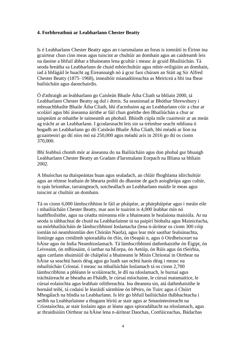#### **4. Forbhreathnú ar Leabharlann Chester Beatty**

Is é Leabharlann Chester Beatty agus an t-iarsmalann an foras is iomráití in Éirinn ina gcuirtear chun cinn meas agus tuiscint ar chultúir an domhain agus an caidreamh leis na daoine a bhfuil ábhar a bhaineann lena gcultúr i measc ár gcuid Bhailiúchán. Tá seoda breátha sa Leabharlann de chuid mhórchultúir agus mhór-reiligiúin an domhain, iad á bhfágáil le huacht ag Éireannaigh nó á gcur faoi chúram an Stáit ag Sir Alfred Chester Beatty (1875–1968), innealtóir mianadóireachta as Meiriceá a bhí ina fhear bailiúcháin agus daonchairdis.

Ó d'athraigh an leabharlann go Caisleán Bhaile Átha Cliath sa bhliain 2000, tá Leabharlann Chester Beatty ag dul i dtreis. Sa seanionad ar Bhóthar Shrewsbury i mbruachbhailte Bhaile Átha Cliath, bhí d'acmhainn ag an Leabharlann cóir a chur ar scoláirí agus bhí áiseanna áirithe ar fáil chun gnéithe den Bhailiúchán a chur ar taispeáint ar mhaithe le taitneamh an phobail. Bhíodh cúpla míle cuairteoir ar an meán ag trácht ar an Leabharlann. I gcodarsnacht leis sin sa tréimhse seacht mbliana ó bogadh an Leabharlann go dtí Caisleán Bhaile Átha Cliath, bhí méadú ar líon na gcuairteoirí go dtí níos mó ná 250,000 agus méadú arís in 2016 go dtí os cionn 370,000.

Bhí feabhsú chomh mór ar áiseanna do na Bailiúcháin agus don phobal gur bhuaigh Leabharlann Chester Beatty an Gradam d'Iarsmalann Eorpach na Bliana sa bhliain 2002.

A bhuíochas na dtaispeántas buan agus sealadach, an chláir fhoghlama idirchultúir agus an réimse leathain de bhearta poiblí do dhaoine de gach aoisghrúpa agus cultúr, is spás bríomhar, tarraingteach, soicheallach an Leabharlann maidir le meas agus tuiscint ar chultúir an domhain.

Tá os cionn 6,000 lámhscríbhinn le fáil ar pháipéar, ar phárpháipéar agus i meáin eile i mbailiúcháin Chester Beatty, mar aon le tuairim is 4,000 leabhar mín nó luathfhoilsithe, agus na céadta míreanna eile a bhaineann le healaíona maisiúla. Ar na seoda is tábhachtaí de chuid na Leabharlainne tá na paipírí bíobalta agus Mainicéacha, na mórbhailiúcháin de lámhscríbhinní Ioslamacha (lena n-áirítear os cionn 300 cóip iomlán nó neamhiomlán den Chóráin Naofa), agus lear mór saothar fealsúnachta, liotúirge agus creidimh spioradálta ón tSín, ón tSeapái n, agus ó Oirdheisceart na hÁise agus ón India Neamhioslamach. Tá lámhscríbhinní dathmhaisithe ón Éigipt, ón Leiveaint, ón mBiosáint, ó iarthar na hEorpa, ón Aetóip, ón Rúis agus ón tSeirbia, agus cartlann shuimiúil de cháipéisí a bhaineann le Misin Chríostaí in Oirthear na hÁise sa seachtú haois déag agus go luath san ochtú haois déag i measc na mbailiúchán Críostaí. I measc na mbailiúchán Ioslamach tá os cionn 2,700 lámhscríbhinn a phléann le scoláireacht, le dlí na nIoslamach, le hurnaí agus tráchtáireacht ar bheatha an Fháidh, le cúrsaí míochaine, le cúrsaí matamaitice, le cúrsaí eolaíochta agus leabhair oilithreachta. Ina dteannta sin, atá dathmhaisithe le hornáid teibí, tá codaisí le léaráidí sármhíne ón bPeirs, ón Tuirc agus ó Chúirt Mhogálach na hIndia sa Leabharlann. Is léir go bhfuil bailiúcháin thábhachtacha i seilbh na Leabharlainne a thugann léiriú ar stair agus ar Smaointeoireacht na Críostaíochta, ar stair Ioslaim agus ar léann agus spioradáltacht na nIoslamach, agus ar thraidisiúin Oirthear na hÁise lena n-áirítear Daochas, Confúiceachas, Búdachas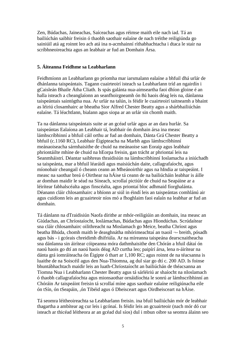Zen, Búdachas, Jaineachas, Saíceachas agus réimse maith eile nach iad. Tá an bailiúchán saibhir freisin ó thaobh saothair ealaíne de nach tréithe reiligiúnda go sainiúil atá ag roinnt leo ach atá ina n-acmhainní ríthabhachtacha i dtaca le stair na scríbhneoireachta agus an leabhair ar fud an Domhain Ársa.

#### **5. Áiteanna Feidhme sa Leabharlann**

Feidhmíonn an Leabharlann go príomha mar iarsmalann ealaíne a bhfuil dhá urlár de dhánlanna taispeántais. Tagann cuairteoirí isteach sa Leabharlann tríd an ngairdín i gCaisleán Bhaile Átha Cliath. Is spás galánta nua-aimseartha faoi dhíon gloine é an halla isteach a cheanglaíonn an seanfhoirgneamh ón 8ú haois déag leis na, dánlanna taispeántais saintógtha nua. Ar urlár na talún, is féidir le cuairteoirí taitneamh a bhaint as léiriú closamhairc ar bheatha Sior Alfred Chester Beatty agus a shárbhailiúchán ealaíne. Tá léachtlann, bialann agus siopa ar an urlár sin chomh maith.

Ta na dánlanna taispeántais suite ar an gcéad urlár agus ar an dara hurlár. Sa taispeántas Ealaíona an Leabhair tá, leabhair ón domhain ársa ina measc lámhscríbhinní a bhfuil cáil orthu ar fud an domhain, Dánta Grá Chester Beatty a bhfuil (c.1160 RC), Leabhair Éigipteacha na Marbh agus lámhscríbhinní meánaoiseacha sármhaisithe de chuid na meánaoise san Eoraip agus leabhair phriontáilte mhíne de chuid na hEorpa freisin, gan trácht ar phriontaí leis na Seanmháistrí. Déantar saibhreas thraidisiún na lámhscríbhinní Ioslamacha a iniúchadh sa taispeánta, mar a bhfuil léaráidí agus maisiúchán daite, callagrafaíocht, agus míonobair cheangail ó cheann ceann an Mheánoirthir agus na hIndia ar taispeáint. I measc na saothar breá ó Oirthear na hÁise tá ceann de na bailiúcháin leabhar is áille ar domhan maidir le séad na Síneach, scrollaí pictiúir de chuid na Seapáine ar a léirítear fabhalscéalta agus finscéalta, agus priontaí bloc adhmaid fíorghalánta. Déanann cláir chlosamhairc a bhíonn ar siúl in éindí leis an taispeántas comhlánú air agus cuidíonn leis an gcuairteoir níos mó a fhoghlaim faoi ealaín na leabhar ar fud an domhain.

Tá dánlann na dTraidisiún Naofa dírithe ar mhór-reiligiúin an domhain, ina measc an Giúdachas, an Chríostaíocht, Ioslámachas, Búdachas agus Hiondúchas. Scrúdaítear sna cláir chlosamhairc oilithreacht na Moslamach go Meice, beatha Chríost agus beatha Bhúda, chomh maith le deasghnátha mhórimeachtaí an tsaoil ¬- breith, pósadh agus bás - i gcórais chreidimh dhifriúla. Ar na míreanna taispeána dearscnaitheacha sna dánlanna sin áirítear cóipeanna móra dathmhaisithe den Chórán a hfuil dátaí ón naoú haois go dtí an naoú haois déag AD curtha leo; paipírí ársa, lena n-áirítear na dánta grá iomráiteacha ón Éigipte ó thart ar 1,100 RC; agus roinnt de na téacsanna is luaithe de na Soiscéil agus den Nua-Thiomna, ag dul siar go dtí c. 200 AD. Is foinse bhuntábhachtach maidir leis an luath-Chríostaíocht an bailiúchán de théacsanna an Tiomna Nua i Leabharlann Chester Beatty agus tá sárléiriú ar shaíocht na nIoslamach ó thaobh callagrafaíochta agus mionsaothar ornáidíochta le sonrú ar lámhscríbhinní an Chóráin Ar taispeáint freisin tá scrollaí míne agus saothair ealaíne reiligiúnacha eile ón tSín, ón tSeapáin, ,ón Tibéid agus ó Dheisceart agus Oirdheisceart na hÁise.

Tá seomra léitheoireachta sa Leabharlann freisin. ina bfuil bailiúchán mór de leabhair thagartha a ambítear ag cur leis i gcónaí. Is féidir leis an gcuairteoir (nach mór dó cur isteach ar thicéad léitheora ar an gcéad dul síos) dul i mbun oibre sa seomra álainn seo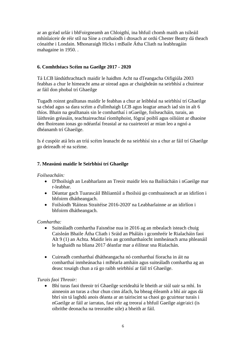ar an gcéad urlár i bhFoirgneamh an Chloigthí, ina bhfuil chomh maith an tsíleáil mhínlaiceir de réir stíl na Síne a cruthaíodh i dtosach ar ordú Chester Beatty dá theach cónaithe i Londain. Mhonaraigh Hicks i mBaile Átha Cliath na leabhragáin mahagaine in 1950. .

#### **6. Comhthéacs Scéim na Gaeilge 2017 - 2020**

Tá LCB lándúthrachtach maidir le haidhm Acht na dTeangacha Oifigiúla 2003 feabhas a chur le himeacht ama ar oiread agus ar chaighdeán na seirbhísí a chuirtear ar fáil don phobal trí Ghaeilge

Tugadh roinnt gealltanas maidir le feabhas a chur ar leibhéal na seirbhísí trí Ghaeilge sa chéad agus sa dara scéim a d'ullmhaigh LCB agus leagtar amach iad sin in alt 6 thíos. Bhain na gealltanais sin le comharthaí i nGaeilge, foilseacháin, turais, an láithreán gréasáin, teachtaireachtaí ríomhphoist, fógraí poiblí agus oiliúint ar dhaoine den fhoireann ionas go ndéanfaí freastal ar na cuairteoirí ar mian leo a ngnó a dhéanamh trí Ghaeilge.

Is é cuspóir atá leis an tríú scéim leanacht de na seirbhísí sin a chur ar fáil trí Ghaeilge go deireadh ré na scéime.

### **7. Measúnú maidir le Seirbhísí trí Ghaeilge**

#### *Foilseacháin:*

- D'fhoilsigh an Leabharlann an Treoir maidir leis na Bailiúcháin i nGaeilge mar r-leabhar.
- Déantar gach Tuarascáil Bhliantúil a fhoilsiú go comhuaineach ar an idirlíon i bhfoirm dhátheangach.
- Foilsíodh 'Ráiteas Straitéise 2016-2020' na Leabharlainne ar an idirlíon i bhfoirm dhátheangach.

#### *Comhartha:*

- Suiteáladh comhartha Faisnéise nua in 2016 ag an mbealach isteach chuig Caisleán Bhaile Átha Cliath i Sráid an Pháláis i gcomhréir le Rialacháin faoi Alt 9 (1) an Achta. Maidir leis an gcomharthaíocht inmheánach arna phleanáil le haghaidh na bliana 2017 déanfar mar a éilítear sna Rialachán.
- Cuireadh comharthaí dhátheangacha nó comharthaí fíoracha in áit na comharthaí inmheánacha i mBéarla amháin agus suiteáladh comhartha ag an deasc tosaigh chun a rá go raibh seirbhísí ar fáil trí Ghaeilge.

#### *Turais faoi Threoir:*

 Bhí turas faoi threoir trí Ghaeilge sceidealtá le bheith ar siúl uair sa mhí. In ainneoin an turas a chur chun cinn áfach, ba bheag éileamh a bhí air agus dá bhrí sin tá laghdú anois déanta ar an tairiscint sa chaoi go gcuirtear turais i nGaeilge ar fáil ar iarratas, faoi réir ag treoraí a bhfuil Gaeilge aige/aici (is oibrithe deonacha na treoraithe uile) a bheith ar fáil.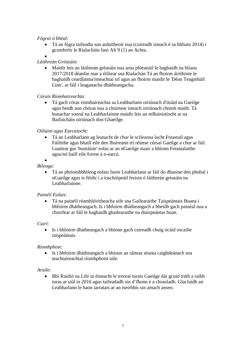#### *Fógraí ó bhéal:*

- Tá an fógra taifeadta san ardaitheoir nua (cuireadh isteach é sa bhliain 2014) i gcomhréir le Rialacháin faoi Alt 9 (1) an Achta.
- $\bullet$

#### *Láithreán Gréasáin:*

 Maidir leis an láithreán gréasáin nua arna phleanáil le haghaidh na bliana 2017/2018 déanfar mar a éilítear sna Rialachán Tá an fhoirm áirithinte le haghaidh ceardlanna/imeachtaí srl agus an fhoirm maidir le 'Déan Teagmháil Linn', ar fáil i leaganacha dhátheangacha.

*Córais Ríomhaireachta:*

 Tá gach córas ríomhaireachta sa Leabharlann oiriúnach d'úsáid na Gaeilge agus beidh aon chóras nua a chuirtear isteach oiriúnach chomh maith. Tá bunachar sonraí na Leabharlainne maidir leis an mBainistíocht ar na Bailiúcháin oiriúnach don Ghaeilge.

#### *Oiliúint agus Earcaíocht:*

 Tá an Leabharlann ag leanacht de chur le scileanna lucht Freastail agus Fáiltithe agus bhaill eile den fhoireann trí réimse cúrsaí Gaeilge a chur ar fáil. Luaitear gur 'buntáiste' eolas ar an nGaeilge nuair a bhíonn Freastalaithe agus/nó baill eile foirne á n-earcú.

#### $\bullet$ *Bileoga*:

 Tá an phríomhbhileog eolais faoin Leabharlann ar fáil do dhaoine den phobal i nGaeilge agus is féidir í a íoschóipeáil freisin ó láithreán gréasáin na Leabharlainne.

#### *Painéil Eolais:*

 Tá na painéil réamhléiritheacha uile sna Gailearaithe Taispeántais Buana i bhfoirm dhátheangach. Is i bhfoirm dhátheangach a bheidh gach painéal nua a chuirfear ar fáil le haghaidh ghailearaithe na dtaispeántas buan.

#### *Cuirí*:

• Is i bhfoirm dhátheangach a bhíonn gach cuireadh chuig ócáid oscailte taispeántais.

#### *Ríomhphost*:

 Is i bhfoirm dhátheangach a bhíonn an ráiteas séanta caighdeánach sna teachtaireachtaí ríomhphoist uile.

#### *Araile*:

 Bhí Raidió na Life in éineacht le treoraí turais Gaeilge dár gcuid tráth a raibh turas ar siúl in 2016 agus taifeadadh sin d'fhonn é a chraoladh. Glacfaidh an Leabharlann le haon iarratais ar an tseirbhís sin amach anseo.